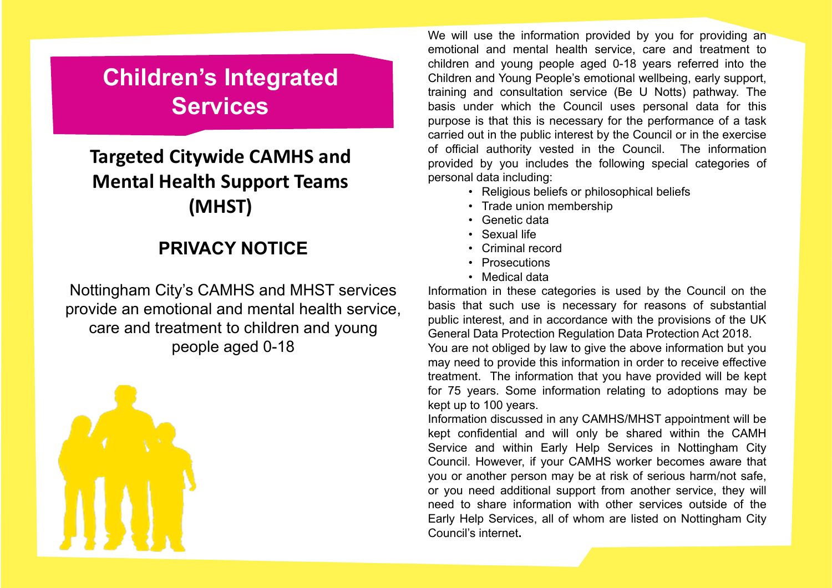# **Children's Integrated Services**

## **Targeted Citywide CAMHS and Mental Health Support Teams (MHST)**

### **PRIVACY NOTICE**

Nottingham City's CAMHS and MHST services provide an emotional and mental health service, care and treatment to children and young people aged 0-18



We will use the information provided by you for providing an emotional and mental health service, care and treatment to children and young people aged 0-18 years referred into the Children and Young People's emotional wellbeing, early support, training and consultation service (Be U Notts) pathway. The basis under which the Council uses personal data for this purpose is that this is necessary for the performance of <sup>a</sup> task carried out in the public interest by the Council or in the exercise of official authority vested in the Council. The information provided by you includes the following special categories of personal data including:

- Religious beliefs or philosophical beliefs
- Trade union membership
- Genetic data
- Sexual life
- Criminal record
- Prosecutions
- Medical data

Information in these categories is used by the Council on the basis that such use is necessary for reasons of substantial public interest, and in accordance with the provisions of the UK General Data Protection Regulation Data Protection Act 2018.

You are not obliged by law to give the above information but you may need to provide this information in order to receive effective treatment. The information that you have provided will be kept for 75 years. Some information relating to adoptions may be kept up to 100 years.

Information discussed in any CAMHS/MHST appointment will be kept confidential and will only be shared within the CAMH Service and within Early Help Services in Nottingham City Council. However, if your CAMHS worker becomes aware that you or another person may be at risk of serious harm/not safe, or you need additional support from another service, they will need to share information with other services outside of theEarly Help Services, all of whom are listed on Nottingham City Council's internet**.**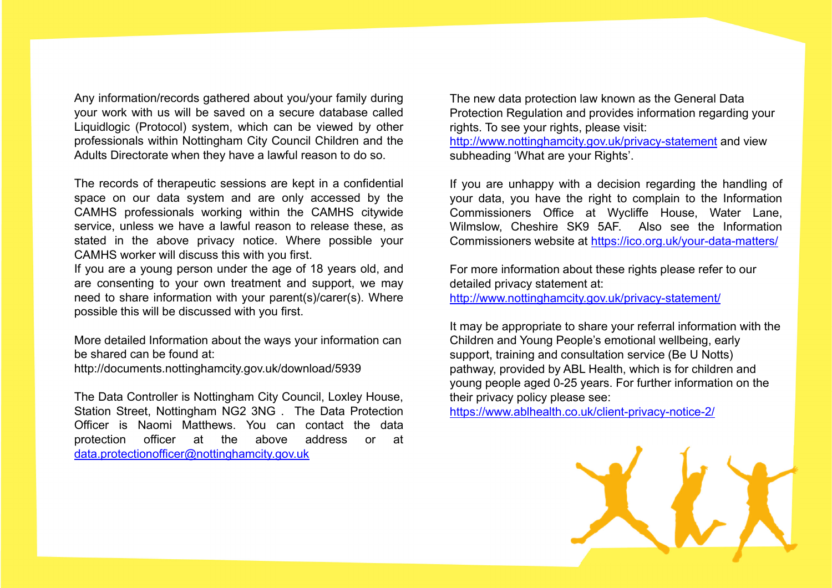Any information/records gathered about you/your family during your work with us will be saved on <sup>a</sup> secure database called Liquidlogic (Protocol) system, which can be viewed by other professionals within Nottingham City Council Children and the Adults Directorate when they have <sup>a</sup> lawful reason to do so.

The records of therapeutic sessions are kept in <sup>a</sup> confidential space on our data system and are only accessed by the CAMHS professionals working within the CAMHS citywide service, unless we have <sup>a</sup> lawful reason to release these, as stated in the above privacy notice. Where possible your CAMHS worker will discuss this with you first.

If you are <sup>a</sup> young person under the age of 18 years old, and are consenting to your own treatment and support, we may need to share information with your parent(s)/carer(s). Where possible this will be discussed with you first.

More detailed Information about the ways your information can be shared can be found at:

http://documents.nottinghamcity.gov.uk/download/5939

The Data Controller is Nottingham City Council, Loxley House, Station Street, Nottingham NG2 3NG . The Data Protection Officer is Naomi Matthews. You can contact the dataprotection officer at the above address or at data.protectionofficer@nottinghamcity.gov.uk

The new data protection law known as the General Data Protection Regulation and provides information regarding your rights. To see your rights, please visit:

http://www.nottinghamcity.gov.uk/privacy-statement and view subheading 'What are your Rights'.

If you are unhappy with <sup>a</sup> decision regarding the handling of your data, you have the right to complain to the Information Commissioners Office at Wycliffe House, Water Lane, Wilmslow, Cheshire SK9 5AF. Also see the Information Commissioners website at <u>https://ico.org.uk/your-data-matters/</u>

For more information about these rights please refer to our detailed privacy statement at:

http://www.nottinghamcity.gov.uk/privacy-statement/

It may be appropriate to share your referral information with the Children and Young People's emotional wellbeing, early support, training and consultation service (Be U Notts) pathway, provided by ABL Health, which is for children and young people aged 0-25 years. For further information on the their privacy policy please see:

https://www.ablhealth.co.uk/client-privacy-notice-2/